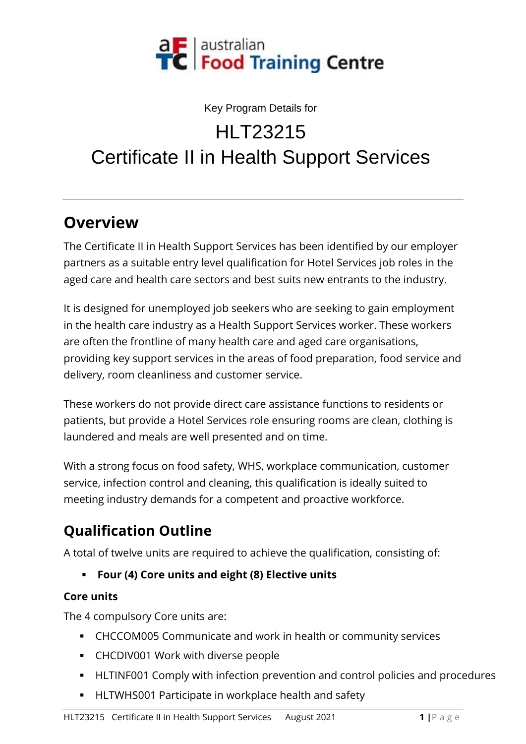

#### Key Program Details for

# HI T<sub>23215</sub>

# Certificate II in Health Support Services

### **Overview**

The Certificate II in Health Support Services has been identified by our employer partners as a suitable entry level qualification for Hotel Services job roles in the aged care and health care sectors and best suits new entrants to the industry.

It is designed for unemployed job seekers who are seeking to gain employment in the health care industry as a Health Support Services worker. These workers are often the frontline of many health care and aged care organisations, providing key support services in the areas of food preparation, food service and delivery, room cleanliness and customer service.

These workers do not provide direct care assistance functions to residents or patients, but provide a Hotel Services role ensuring rooms are clean, clothing is laundered and meals are well presented and on time.

With a strong focus on food safety, WHS, workplace communication, customer service, infection control and cleaning, this qualification is ideally suited to meeting industry demands for a competent and proactive workforce.

# **Qualification Outline**

A total of twelve units are required to achieve the qualification, consisting of:

▪ **Four (4) Core units and eight (8) Elective units**

#### **Core units**

The 4 compulsory Core units are:

- CHCCOM005 Communicate and work in health or community services
- CHCDIV001 Work with diverse people
- **EXTENT-** HLTINF001 Comply with infection prevention and control policies and procedures
- HLTWHS001 Participate in workplace health and safety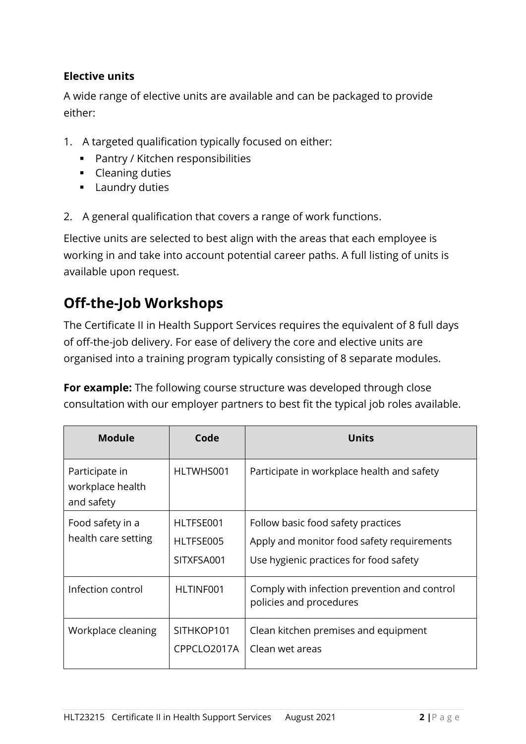#### **Elective units**

A wide range of elective units are available and can be packaged to provide either:

- 1. A targeted qualification typically focused on either:
	- Pantry / Kitchen responsibilities
	- **•** Cleaning duties
	- **■** Laundry duties
- 2. A general qualification that covers a range of work functions.

Elective units are selected to best align with the areas that each employee is working in and take into account potential career paths. A full listing of units is available upon request.

### **Off-the-Job Workshops**

The Certificate II in Health Support Services requires the equivalent of 8 full days of off-the-job delivery. For ease of delivery the core and elective units are organised into a training program typically consisting of 8 separate modules.

**For example:** The following course structure was developed through close consultation with our employer partners to best fit the typical job roles available.

| <b>Module</b>                                    | Code                                 | <b>Units</b>                                                                                                               |
|--------------------------------------------------|--------------------------------------|----------------------------------------------------------------------------------------------------------------------------|
| Participate in<br>workplace health<br>and safety | HLTWHS001                            | Participate in workplace health and safety                                                                                 |
| Food safety in a<br>health care setting          | HLTFSE001<br>HLTFSE005<br>SITXFSA001 | Follow basic food safety practices<br>Apply and monitor food safety requirements<br>Use hygienic practices for food safety |
| Infection control                                | HLTINF001                            | Comply with infection prevention and control<br>policies and procedures                                                    |
| Workplace cleaning                               | SITHKOP101<br>CPPCLO2017A            | Clean kitchen premises and equipment<br>Clean wet areas                                                                    |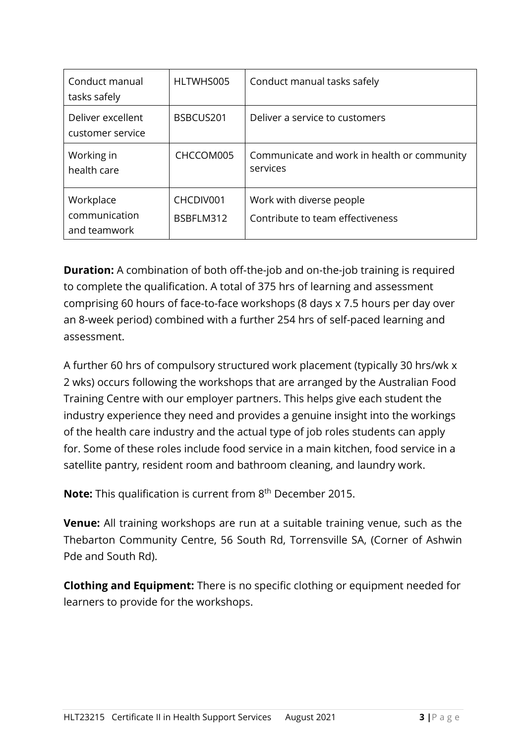| Conduct manual<br>tasks safely             | HLTWHS005              | Conduct manual tasks safely                                  |
|--------------------------------------------|------------------------|--------------------------------------------------------------|
| Deliver excellent<br>customer service      | BSBCUS201              | Deliver a service to customers                               |
| Working in<br>health care                  | CHCCOM005              | Communicate and work in health or community<br>services      |
| Workplace<br>communication<br>and teamwork | CHCDIV001<br>BSBFLM312 | Work with diverse people<br>Contribute to team effectiveness |

**Duration:** A combination of both off-the-job and on-the-job training is required to complete the qualification. A total of 375 hrs of learning and assessment comprising 60 hours of face-to-face workshops (8 days x 7.5 hours per day over an 8-week period) combined with a further 254 hrs of self-paced learning and assessment.

A further 60 hrs of compulsory structured work placement (typically 30 hrs/wk x 2 wks) occurs following the workshops that are arranged by the Australian Food Training Centre with our employer partners. This helps give each student the industry experience they need and provides a genuine insight into the workings of the health care industry and the actual type of job roles students can apply for. Some of these roles include food service in a main kitchen, food service in a satellite pantry, resident room and bathroom cleaning, and laundry work.

**Note:** This qualification is current from 8<sup>th</sup> December 2015.

**Venue:** All training workshops are run at a suitable training venue, such as the Thebarton Community Centre, 56 South Rd, Torrensville SA, (Corner of Ashwin Pde and South Rd).

**Clothing and Equipment:** There is no specific clothing or equipment needed for learners to provide for the workshops.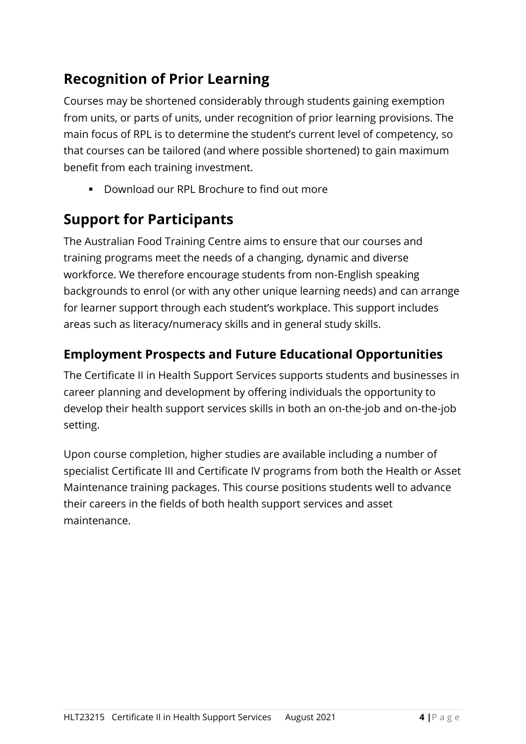# **Recognition of Prior Learning**

Courses may be shortened considerably through students gaining exemption from units, or parts of units, under recognition of prior learning provisions. The main focus of RPL is to determine the student's current level of competency, so that courses can be tailored (and where possible shortened) to gain maximum benefit from each training investment.

■ Download our RPL Brochure to find out more

### **Support for Participants**

The Australian Food Training Centre aims to ensure that our courses and training programs meet the needs of a changing, dynamic and diverse workforce. We therefore encourage students from non-English speaking backgrounds to enrol (or with any other unique learning needs) and can arrange for learner support through each student's workplace. This support includes areas such as literacy/numeracy skills and in general study skills.

### **Employment Prospects and Future Educational Opportunities**

The Certificate II in Health Support Services supports students and businesses in career planning and development by offering individuals the opportunity to develop their health support services skills in both an on-the-job and on-the-job setting.

Upon course completion, higher studies are available including a number of specialist Certificate III and Certificate IV programs from both the Health or Asset Maintenance training packages. This course positions students well to advance their careers in the fields of both health support services and asset maintenance.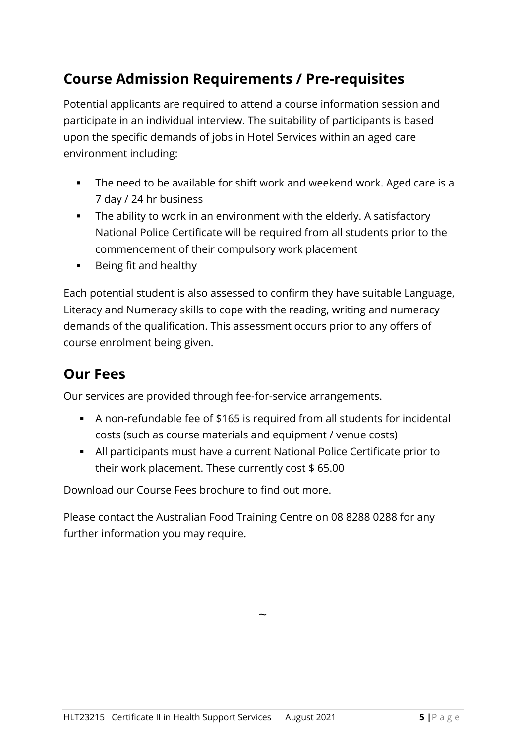## **Course Admission Requirements / Pre-requisites**

Potential applicants are required to attend a course information session and participate in an individual interview. The suitability of participants is based upon the specific demands of jobs in Hotel Services within an aged care environment including:

- The need to be available for shift work and weekend work. Aged care is a 7 day / 24 hr business
- The ability to work in an environment with the elderly. A satisfactory National Police Certificate will be required from all students prior to the commencement of their compulsory work placement
- Being fit and healthy

Each potential student is also assessed to confirm they have suitable Language, Literacy and Numeracy skills to cope with the reading, writing and numeracy demands of the qualification. This assessment occurs prior to any offers of course enrolment being given.

### **Our Fees**

Our services are provided through fee-for-service arrangements.

- A non-refundable fee of \$165 is required from all students for incidental costs (such as course materials and equipment / venue costs)
- All participants must have a current National Police Certificate prior to their work placement. These currently cost \$ 65.00

Download our Course Fees brochure to find out more.

Please contact the Australian Food Training Centre on 08 8288 0288 for any further information you may require.

 $\ddot{\phantom{0}}$